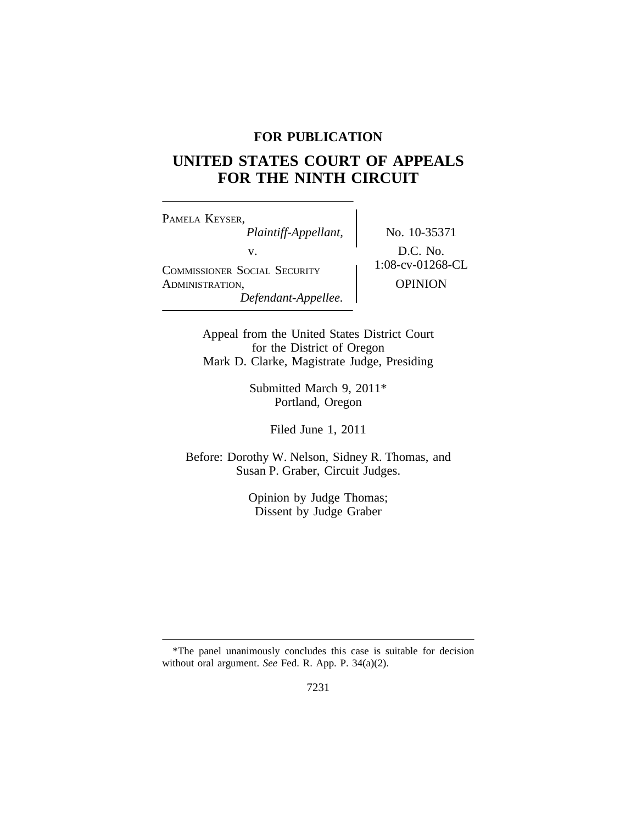## **FOR PUBLICATION**

# **UNITED STATES COURT OF APPEALS FOR THE NINTH CIRCUIT**

<sup>P</sup>AMELA KEYSER, *Plaintiff-Appellant,* No. 10-35371 v.<br>
COMMISSIONER SOCIAL SECURITY 1:08-cv-01268-CL ADMINISTRATION, OPINION *Defendant-Appellee.*

Appeal from the United States District Court for the District of Oregon Mark D. Clarke, Magistrate Judge, Presiding

> Submitted March 9, 2011\* Portland, Oregon

> > Filed June 1, 2011

Before: Dorothy W. Nelson, Sidney R. Thomas, and Susan P. Graber, Circuit Judges.

> Opinion by Judge Thomas; Dissent by Judge Graber

<sup>\*</sup>The panel unanimously concludes this case is suitable for decision without oral argument. *See* Fed. R. App. P. 34(a)(2).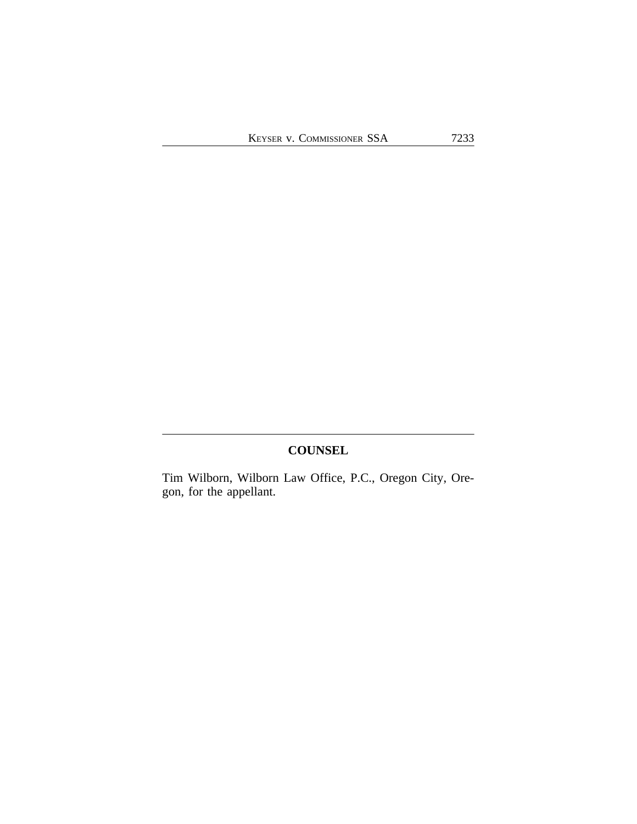## **COUNSEL**

Tim Wilborn, Wilborn Law Office, P.C., Oregon City, Oregon, for the appellant.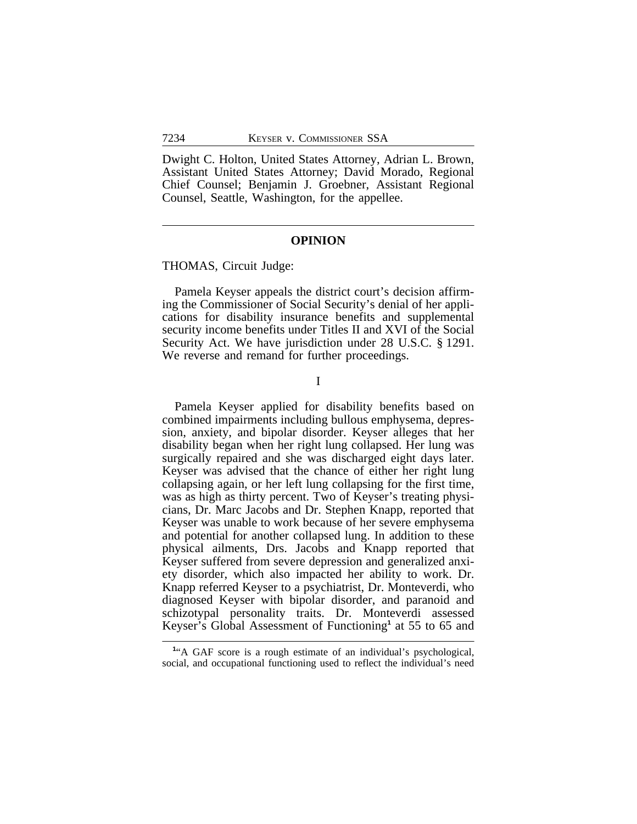Dwight C. Holton, United States Attorney, Adrian L. Brown, Assistant United States Attorney; David Morado, Regional Chief Counsel; Benjamin J. Groebner, Assistant Regional Counsel, Seattle, Washington, for the appellee.

### **OPINION**

#### THOMAS, Circuit Judge:

Pamela Keyser appeals the district court's decision affirming the Commissioner of Social Security's denial of her applications for disability insurance benefits and supplemental security income benefits under Titles II and XVI of the Social Security Act. We have jurisdiction under 28 U.S.C. § 1291. We reverse and remand for further proceedings.

I

Pamela Keyser applied for disability benefits based on combined impairments including bullous emphysema, depression, anxiety, and bipolar disorder. Keyser alleges that her disability began when her right lung collapsed. Her lung was surgically repaired and she was discharged eight days later. Keyser was advised that the chance of either her right lung collapsing again, or her left lung collapsing for the first time, was as high as thirty percent. Two of Keyser's treating physicians, Dr. Marc Jacobs and Dr. Stephen Knapp, reported that Keyser was unable to work because of her severe emphysema and potential for another collapsed lung. In addition to these physical ailments, Drs. Jacobs and Knapp reported that Keyser suffered from severe depression and generalized anxiety disorder, which also impacted her ability to work. Dr. Knapp referred Keyser to a psychiatrist, Dr. Monteverdi, who diagnosed Keyser with bipolar disorder, and paranoid and schizotypal personality traits. Dr. Monteverdi assessed Keyser's Global Assessment of Functioning**<sup>1</sup>** at 55 to 65 and

<sup>&</sup>lt;sup>1</sup><sup>"</sup>A GAF score is a rough estimate of an individual's psychological, social, and occupational functioning used to reflect the individual's need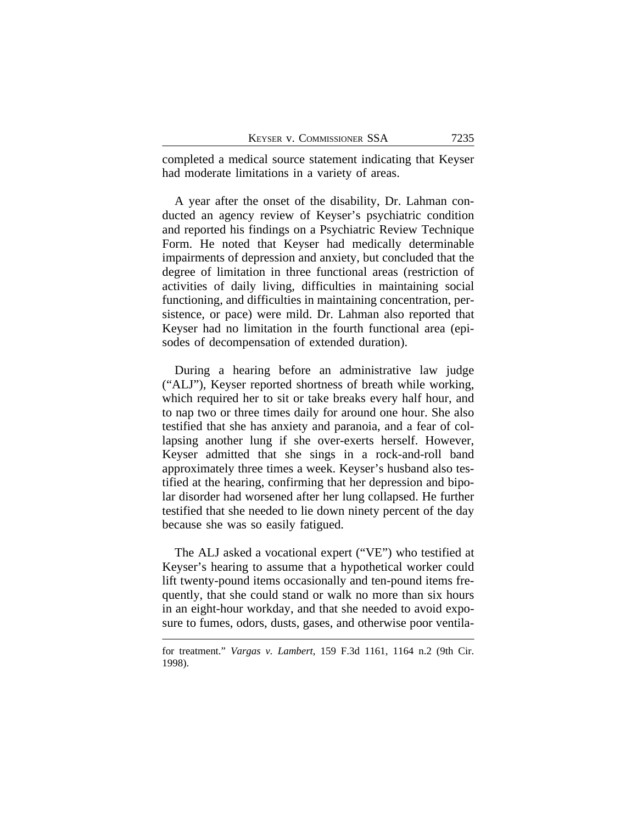completed a medical source statement indicating that Keyser had moderate limitations in a variety of areas.

A year after the onset of the disability, Dr. Lahman conducted an agency review of Keyser's psychiatric condition and reported his findings on a Psychiatric Review Technique Form. He noted that Keyser had medically determinable impairments of depression and anxiety, but concluded that the degree of limitation in three functional areas (restriction of activities of daily living, difficulties in maintaining social functioning, and difficulties in maintaining concentration, persistence, or pace) were mild. Dr. Lahman also reported that Keyser had no limitation in the fourth functional area (episodes of decompensation of extended duration).

During a hearing before an administrative law judge ("ALJ"), Keyser reported shortness of breath while working, which required her to sit or take breaks every half hour, and to nap two or three times daily for around one hour. She also testified that she has anxiety and paranoia, and a fear of collapsing another lung if she over-exerts herself. However, Keyser admitted that she sings in a rock-and-roll band approximately three times a week. Keyser's husband also testified at the hearing, confirming that her depression and bipolar disorder had worsened after her lung collapsed. He further testified that she needed to lie down ninety percent of the day because she was so easily fatigued.

The ALJ asked a vocational expert ("VE") who testified at Keyser's hearing to assume that a hypothetical worker could lift twenty-pound items occasionally and ten-pound items frequently, that she could stand or walk no more than six hours in an eight-hour workday, and that she needed to avoid exposure to fumes, odors, dusts, gases, and otherwise poor ventila-

for treatment." *Vargas v. Lambert*, 159 F.3d 1161, 1164 n.2 (9th Cir. 1998).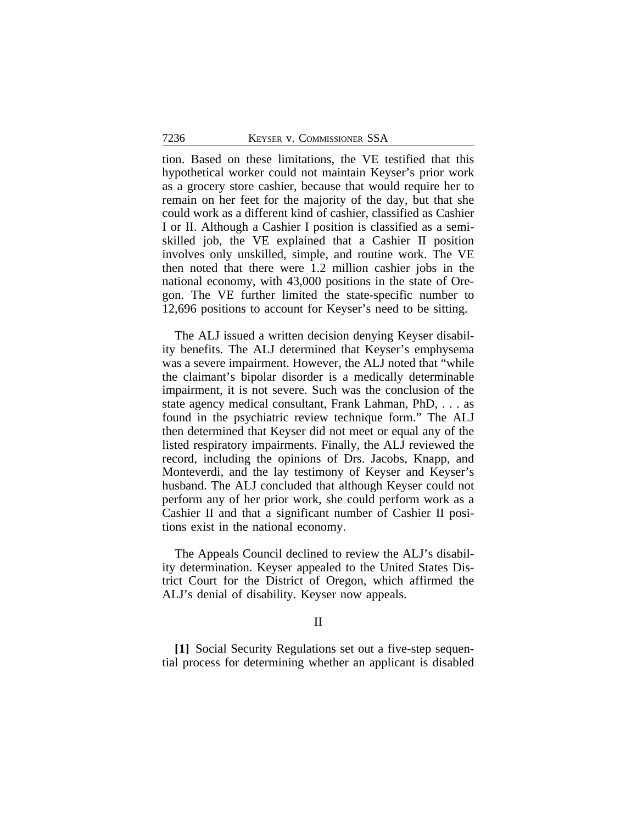tion. Based on these limitations, the VE testified that this hypothetical worker could not maintain Keyser's prior work as a grocery store cashier, because that would require her to remain on her feet for the majority of the day, but that she could work as a different kind of cashier, classified as Cashier I or II. Although a Cashier I position is classified as a semiskilled job, the VE explained that a Cashier II position involves only unskilled, simple, and routine work. The VE then noted that there were 1.2 million cashier jobs in the national economy, with 43,000 positions in the state of Oregon. The VE further limited the state-specific number to 12,696 positions to account for Keyser's need to be sitting.

The ALJ issued a written decision denying Keyser disability benefits. The ALJ determined that Keyser's emphysema was a severe impairment. However, the ALJ noted that "while the claimant's bipolar disorder is a medically determinable impairment, it is not severe. Such was the conclusion of the state agency medical consultant, Frank Lahman, PhD, . . . as found in the psychiatric review technique form." The ALJ then determined that Keyser did not meet or equal any of the listed respiratory impairments. Finally, the ALJ reviewed the record, including the opinions of Drs. Jacobs, Knapp, and Monteverdi, and the lay testimony of Keyser and Keyser's husband. The ALJ concluded that although Keyser could not perform any of her prior work, she could perform work as a Cashier II and that a significant number of Cashier II positions exist in the national economy.

The Appeals Council declined to review the ALJ's disability determination. Keyser appealed to the United States District Court for the District of Oregon, which affirmed the ALJ's denial of disability. Keyser now appeals.

#### II

**[1]** Social Security Regulations set out a five-step sequential process for determining whether an applicant is disabled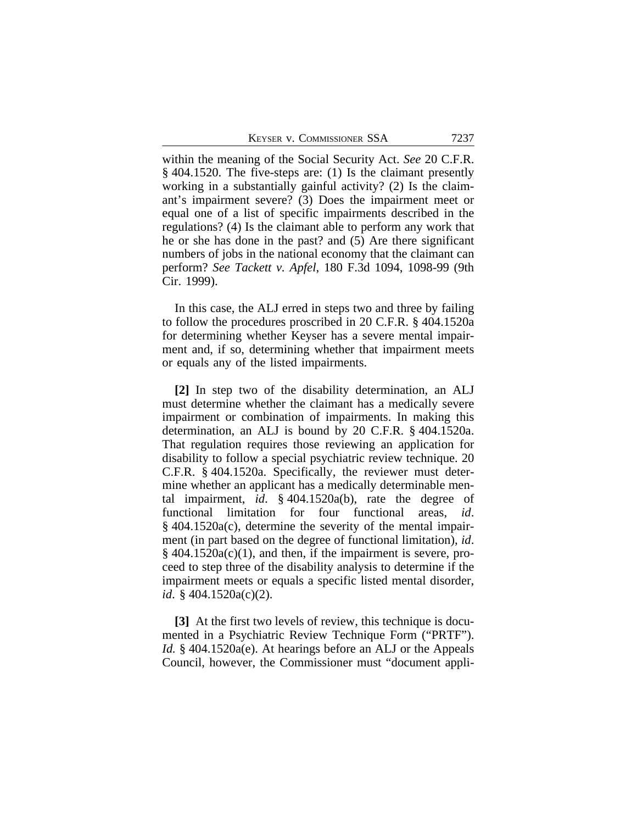KEYSER V. COMMISSIONER SSA 7237

within the meaning of the Social Security Act. *See* 20 C.F.R. § 404.1520. The five-steps are: (1) Is the claimant presently working in a substantially gainful activity? (2) Is the claimant's impairment severe? (3) Does the impairment meet or equal one of a list of specific impairments described in the regulations? (4) Is the claimant able to perform any work that he or she has done in the past? and (5) Are there significant numbers of jobs in the national economy that the claimant can perform? *See Tackett v. Apfel*, 180 F.3d 1094, 1098-99 (9th Cir. 1999).

In this case, the ALJ erred in steps two and three by failing to follow the procedures proscribed in 20 C.F.R. § 404.1520a for determining whether Keyser has a severe mental impairment and, if so, determining whether that impairment meets or equals any of the listed impairments.

**[2]** In step two of the disability determination, an ALJ must determine whether the claimant has a medically severe impairment or combination of impairments. In making this determination, an ALJ is bound by 20 C.F.R. § 404.1520a. That regulation requires those reviewing an application for disability to follow a special psychiatric review technique. 20 C.F.R. § 404.1520a. Specifically, the reviewer must determine whether an applicant has a medically determinable mental impairment, *id*. § 404.1520a(b), rate the degree of functional limitation for four functional areas, *id*. § 404.1520a(c), determine the severity of the mental impairment (in part based on the degree of functional limitation), *id*.  $§$  404.1520a(c)(1), and then, if the impairment is severe, proceed to step three of the disability analysis to determine if the impairment meets or equals a specific listed mental disorder, *id*. § 404.1520a(c)(2).

**[3]** At the first two levels of review, this technique is documented in a Psychiatric Review Technique Form ("PRTF"). *Id.* § 404.1520a(e). At hearings before an ALJ or the Appeals Council, however, the Commissioner must "document appli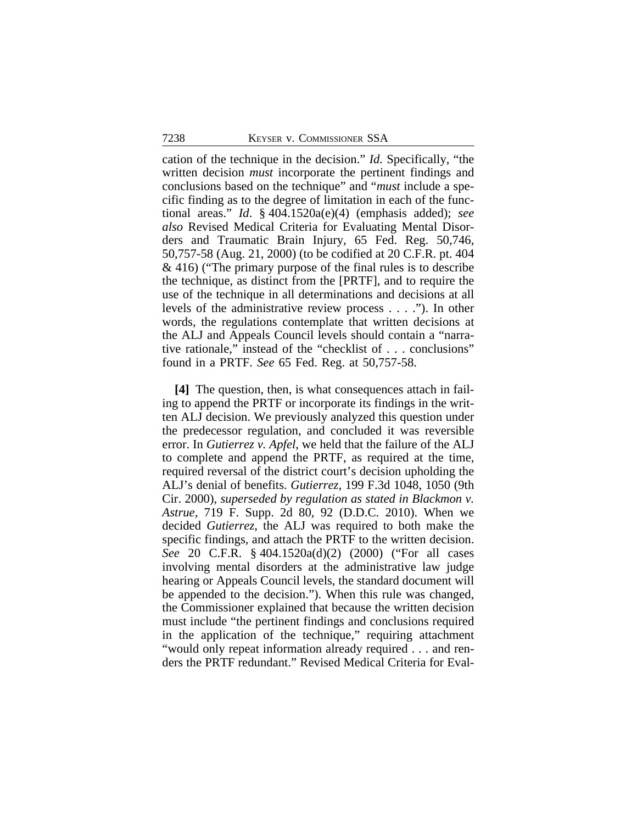cation of the technique in the decision." *Id.* Specifically, "the written decision *must* incorporate the pertinent findings and conclusions based on the technique" and "*must* include a specific finding as to the degree of limitation in each of the functional areas." *Id*. § 404.1520a(e)(4) (emphasis added); *see also* Revised Medical Criteria for Evaluating Mental Disorders and Traumatic Brain Injury, 65 Fed. Reg. 50,746, 50,757-58 (Aug. 21, 2000) (to be codified at 20 C.F.R. pt. 404 & 416) ("The primary purpose of the final rules is to describe the technique, as distinct from the [PRTF], and to require the use of the technique in all determinations and decisions at all levels of the administrative review process . . . ."). In other words, the regulations contemplate that written decisions at the ALJ and Appeals Council levels should contain a "narrative rationale," instead of the "checklist of . . . conclusions" found in a PRTF. *See* 65 Fed. Reg. at 50,757-58.

**[4]** The question, then, is what consequences attach in failing to append the PRTF or incorporate its findings in the written ALJ decision. We previously analyzed this question under the predecessor regulation, and concluded it was reversible error. In *Gutierrez v. Apfel*, we held that the failure of the ALJ to complete and append the PRTF, as required at the time, required reversal of the district court's decision upholding the ALJ's denial of benefits. *Gutierrez*, 199 F.3d 1048, 1050 (9th Cir. 2000), *superseded by regulation as stated in Blackmon v. Astrue*, 719 F. Supp. 2d 80, 92 (D.D.C. 2010). When we decided *Gutierrez*, the ALJ was required to both make the specific findings, and attach the PRTF to the written decision. *See* 20 C.F.R. § 404.1520a(d)(2) (2000) ("For all cases involving mental disorders at the administrative law judge hearing or Appeals Council levels, the standard document will be appended to the decision."). When this rule was changed, the Commissioner explained that because the written decision must include "the pertinent findings and conclusions required in the application of the technique," requiring attachment "would only repeat information already required . . . and renders the PRTF redundant." Revised Medical Criteria for Eval-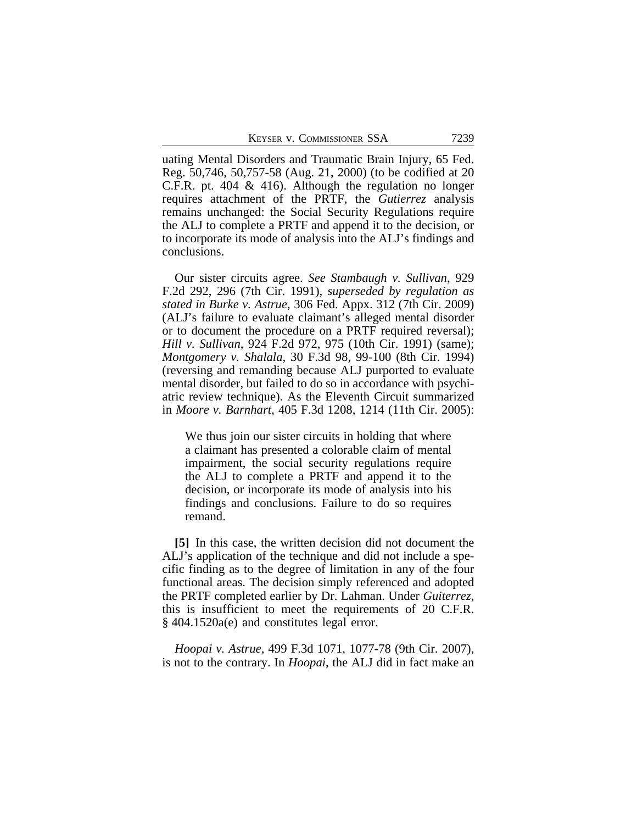uating Mental Disorders and Traumatic Brain Injury, 65 Fed. Reg. 50,746, 50,757-58 (Aug. 21, 2000) (to be codified at 20 C.F.R. pt. 404 & 416). Although the regulation no longer requires attachment of the PRTF, the *Gutierrez* analysis remains unchanged: the Social Security Regulations require the ALJ to complete a PRTF and append it to the decision, or to incorporate its mode of analysis into the ALJ's findings and conclusions.

Our sister circuits agree. *See Stambaugh v. Sullivan*, 929 F.2d 292, 296 (7th Cir. 1991), *superseded by regulation as stated in Burke v. Astrue*, 306 Fed. Appx. 312 (7th Cir. 2009) (ALJ's failure to evaluate claimant's alleged mental disorder or to document the procedure on a PRTF required reversal); *Hill v. Sullivan*, 924 F.2d 972, 975 (10th Cir. 1991) (same); *Montgomery v. Shalala*, 30 F.3d 98, 99-100 (8th Cir. 1994) (reversing and remanding because ALJ purported to evaluate mental disorder, but failed to do so in accordance with psychiatric review technique). As the Eleventh Circuit summarized in *Moore v. Barnhart*, 405 F.3d 1208, 1214 (11th Cir. 2005):

We thus join our sister circuits in holding that where a claimant has presented a colorable claim of mental impairment, the social security regulations require the ALJ to complete a PRTF and append it to the decision, or incorporate its mode of analysis into his findings and conclusions. Failure to do so requires remand.

**[5]** In this case, the written decision did not document the ALJ's application of the technique and did not include a specific finding as to the degree of limitation in any of the four functional areas. The decision simply referenced and adopted the PRTF completed earlier by Dr. Lahman. Under *Guiterrez*, this is insufficient to meet the requirements of 20 C.F.R. § 404.1520a(e) and constitutes legal error.

*Hoopai v. Astrue*, 499 F.3d 1071, 1077-78 (9th Cir. 2007), is not to the contrary. In *Hoopai*, the ALJ did in fact make an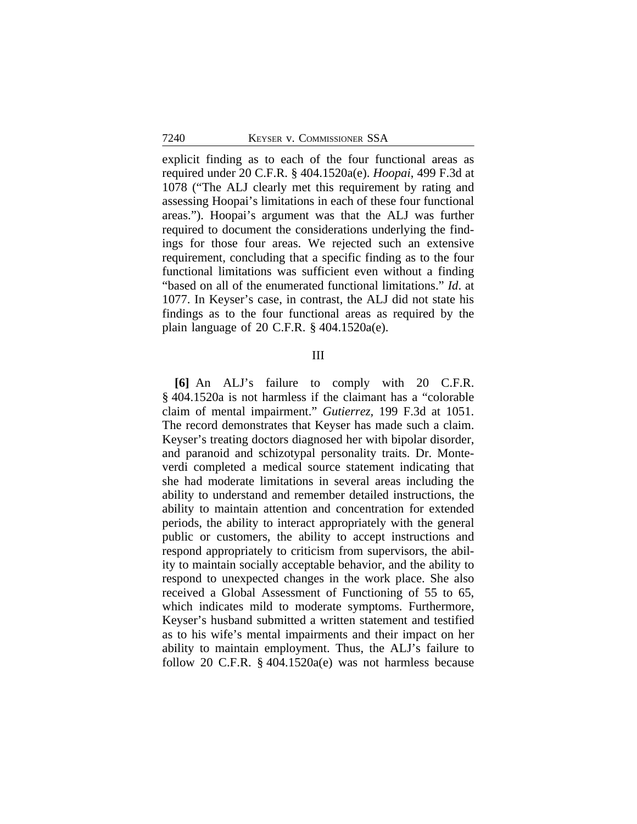explicit finding as to each of the four functional areas as required under 20 C.F.R. § 404.1520a(e). *Hoopai*, 499 F.3d at 1078 ("The ALJ clearly met this requirement by rating and assessing Hoopai's limitations in each of these four functional areas."). Hoopai's argument was that the ALJ was further required to document the considerations underlying the findings for those four areas. We rejected such an extensive requirement, concluding that a specific finding as to the four functional limitations was sufficient even without a finding "based on all of the enumerated functional limitations." *Id*. at 1077. In Keyser's case, in contrast, the ALJ did not state his findings as to the four functional areas as required by the plain language of 20 C.F.R.  $\S$  404.1520a(e).

## III

**[6]** An ALJ's failure to comply with 20 C.F.R. § 404.1520a is not harmless if the claimant has a "colorable claim of mental impairment." *Gutierrez,* 199 F.3d at 1051. The record demonstrates that Keyser has made such a claim. Keyser's treating doctors diagnosed her with bipolar disorder, and paranoid and schizotypal personality traits. Dr. Monteverdi completed a medical source statement indicating that she had moderate limitations in several areas including the ability to understand and remember detailed instructions, the ability to maintain attention and concentration for extended periods, the ability to interact appropriately with the general public or customers, the ability to accept instructions and respond appropriately to criticism from supervisors, the ability to maintain socially acceptable behavior, and the ability to respond to unexpected changes in the work place. She also received a Global Assessment of Functioning of 55 to 65, which indicates mild to moderate symptoms. Furthermore, Keyser's husband submitted a written statement and testified as to his wife's mental impairments and their impact on her ability to maintain employment. Thus, the ALJ's failure to follow 20 C.F.R. § 404.1520a(e) was not harmless because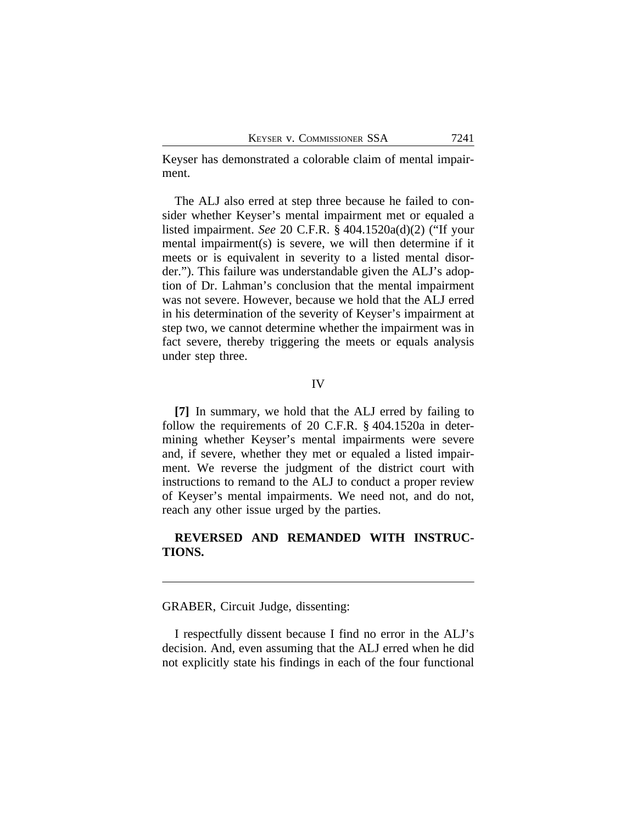Keyser has demonstrated a colorable claim of mental impairment.

The ALJ also erred at step three because he failed to consider whether Keyser's mental impairment met or equaled a listed impairment. *See* 20 C.F.R. § 404.1520a(d)(2) ("If your mental impairment(s) is severe, we will then determine if it meets or is equivalent in severity to a listed mental disorder."). This failure was understandable given the ALJ's adoption of Dr. Lahman's conclusion that the mental impairment was not severe. However, because we hold that the ALJ erred in his determination of the severity of Keyser's impairment at step two, we cannot determine whether the impairment was in fact severe, thereby triggering the meets or equals analysis under step three.

## IV

**[7]** In summary, we hold that the ALJ erred by failing to follow the requirements of 20 C.F.R. § 404.1520a in determining whether Keyser's mental impairments were severe and, if severe, whether they met or equaled a listed impairment. We reverse the judgment of the district court with instructions to remand to the ALJ to conduct a proper review of Keyser's mental impairments. We need not, and do not, reach any other issue urged by the parties.

## **REVERSED AND REMANDED WITH INSTRUC-TIONS.**

GRABER, Circuit Judge, dissenting:

I respectfully dissent because I find no error in the ALJ's decision. And, even assuming that the ALJ erred when he did not explicitly state his findings in each of the four functional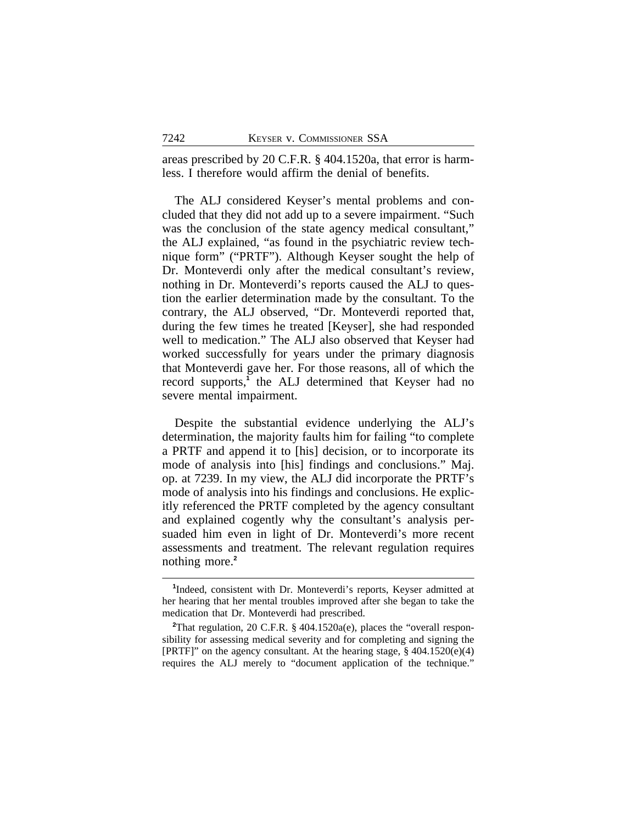areas prescribed by 20 C.F.R. § 404.1520a, that error is harmless. I therefore would affirm the denial of benefits.

The ALJ considered Keyser's mental problems and concluded that they did not add up to a severe impairment. "Such was the conclusion of the state agency medical consultant," the ALJ explained, "as found in the psychiatric review technique form" ("PRTF"). Although Keyser sought the help of Dr. Monteverdi only after the medical consultant's review, nothing in Dr. Monteverdi's reports caused the ALJ to question the earlier determination made by the consultant. To the contrary, the ALJ observed, "Dr. Monteverdi reported that, during the few times he treated [Keyser], she had responded well to medication." The ALJ also observed that Keyser had worked successfully for years under the primary diagnosis that Monteverdi gave her. For those reasons, all of which the record supports,**<sup>1</sup>** the ALJ determined that Keyser had no severe mental impairment.

Despite the substantial evidence underlying the ALJ's determination, the majority faults him for failing "to complete a PRTF and append it to [his] decision, or to incorporate its mode of analysis into [his] findings and conclusions." Maj. op. at 7239. In my view, the ALJ did incorporate the PRTF's mode of analysis into his findings and conclusions. He explicitly referenced the PRTF completed by the agency consultant and explained cogently why the consultant's analysis persuaded him even in light of Dr. Monteverdi's more recent assessments and treatment. The relevant regulation requires nothing more.**<sup>2</sup>**

**<sup>1</sup>** Indeed, consistent with Dr. Monteverdi's reports, Keyser admitted at her hearing that her mental troubles improved after she began to take the medication that Dr. Monteverdi had prescribed.

**<sup>2</sup>**That regulation, 20 C.F.R. § 404.1520a(e), places the "overall responsibility for assessing medical severity and for completing and signing the [PRTF]" on the agency consultant. At the hearing stage, § 404.1520(e)(4) requires the ALJ merely to "document application of the technique."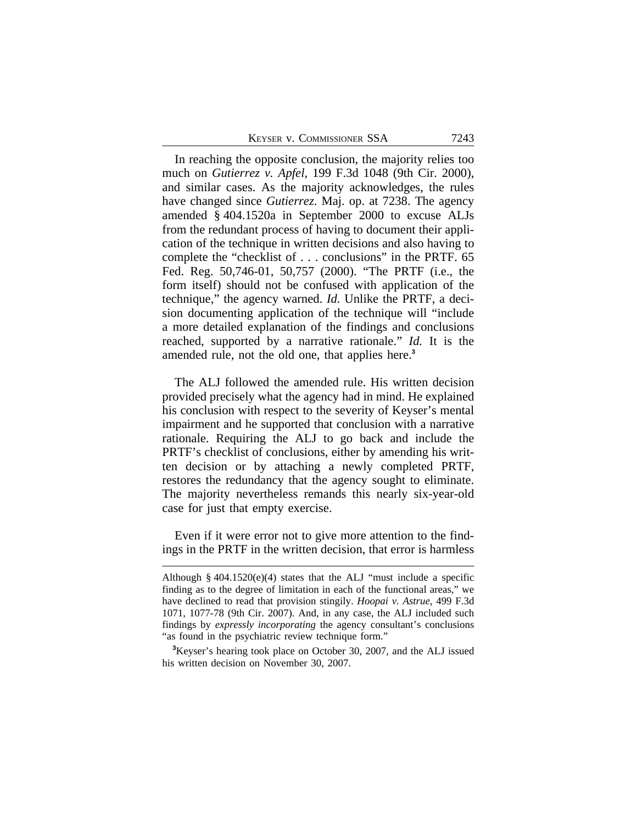In reaching the opposite conclusion, the majority relies too much on *Gutierrez v. Apfel*, 199 F.3d 1048 (9th Cir. 2000), and similar cases. As the majority acknowledges, the rules have changed since *Gutierrez*. Maj. op. at 7238. The agency amended § 404.1520a in September 2000 to excuse ALJs from the redundant process of having to document their application of the technique in written decisions and also having to complete the "checklist of . . . conclusions" in the PRTF. 65 Fed. Reg. 50,746-01, 50,757 (2000). "The PRTF (i.e., the form itself) should not be confused with application of the technique," the agency warned. *Id.* Unlike the PRTF, a decision documenting application of the technique will "include a more detailed explanation of the findings and conclusions reached, supported by a narrative rationale." *Id.* It is the amended rule, not the old one, that applies here.**<sup>3</sup>**

The ALJ followed the amended rule. His written decision provided precisely what the agency had in mind. He explained his conclusion with respect to the severity of Keyser's mental impairment and he supported that conclusion with a narrative rationale. Requiring the ALJ to go back and include the PRTF's checklist of conclusions, either by amending his written decision or by attaching a newly completed PRTF, restores the redundancy that the agency sought to eliminate. The majority nevertheless remands this nearly six-year-old case for just that empty exercise.

Even if it were error not to give more attention to the findings in the PRTF in the written decision, that error is harmless

Although  $\S$  404.1520(e)(4) states that the ALJ "must include a specific finding as to the degree of limitation in each of the functional areas," we have declined to read that provision stingily. *Hoopai v. Astrue*, 499 F.3d 1071, 1077-78 (9th Cir. 2007). And, in any case, the ALJ included such findings by *expressly incorporating* the agency consultant's conclusions "as found in the psychiatric review technique form."

**<sup>3</sup>**Keyser's hearing took place on October 30, 2007, and the ALJ issued his written decision on November 30, 2007.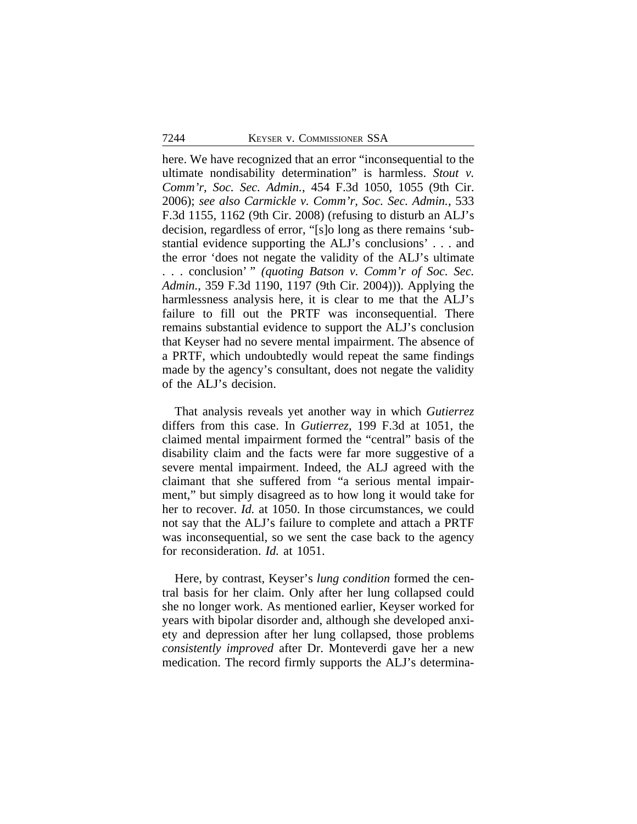here. We have recognized that an error "inconsequential to the ultimate nondisability determination" is harmless. *Stout v. Comm'r, Soc. Sec. Admin.*, 454 F.3d 1050, 1055 (9th Cir. 2006); *see also Carmickle v. Comm'r, Soc. Sec. Admin.*, 533 F.3d 1155, 1162 (9th Cir. 2008) (refusing to disturb an ALJ's decision, regardless of error, "[s]o long as there remains 'substantial evidence supporting the ALJ's conclusions' . . . and the error 'does not negate the validity of the ALJ's ultimate . . . conclusion' " *(quoting Batson v. Comm'r of Soc. Sec. Admin.*, 359 F.3d 1190, 1197 (9th Cir. 2004))). Applying the harmlessness analysis here, it is clear to me that the ALJ's failure to fill out the PRTF was inconsequential. There remains substantial evidence to support the ALJ's conclusion that Keyser had no severe mental impairment. The absence of a PRTF, which undoubtedly would repeat the same findings made by the agency's consultant, does not negate the validity of the ALJ's decision.

That analysis reveals yet another way in which *Gutierrez* differs from this case. In *Gutierrez*, 199 F.3d at 1051, the claimed mental impairment formed the "central" basis of the disability claim and the facts were far more suggestive of a severe mental impairment. Indeed, the ALJ agreed with the claimant that she suffered from "a serious mental impairment," but simply disagreed as to how long it would take for her to recover. *Id.* at 1050. In those circumstances, we could not say that the ALJ's failure to complete and attach a PRTF was inconsequential, so we sent the case back to the agency for reconsideration. *Id.* at 1051.

Here, by contrast, Keyser's *lung condition* formed the central basis for her claim. Only after her lung collapsed could she no longer work. As mentioned earlier, Keyser worked for years with bipolar disorder and, although she developed anxiety and depression after her lung collapsed, those problems *consistently improved* after Dr. Monteverdi gave her a new medication. The record firmly supports the ALJ's determina-